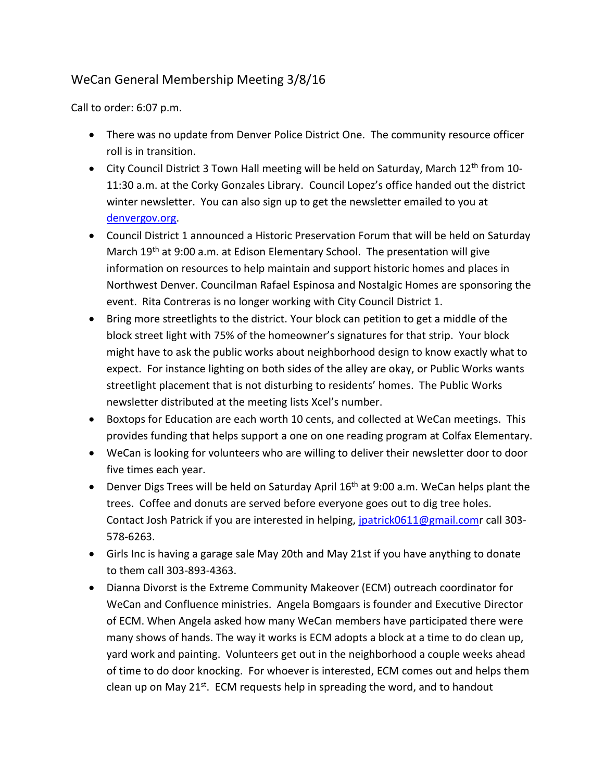## WeCan General Membership Meeting 3/8/16

Call to order: 6:07 p.m.

- There was no update from Denver Police District One. The community resource officer roll is in transition.
- $\bullet$  City Council District 3 Town Hall meeting will be held on Saturday, March 12<sup>th</sup> from 10-11:30 a.m. at the Corky Gonzales Library. Council Lopez's office handed out the district winter newsletter. You can also sign up to get the newsletter emailed to you at [denvergov.org.](http://www.denvergov.org/)
- Council District 1 announced a Historic Preservation Forum that will be held on Saturday March  $19<sup>th</sup>$  at 9:00 a.m. at Edison Elementary School. The presentation will give information on resources to help maintain and support historic homes and places in Northwest Denver. Councilman Rafael Espinosa and Nostalgic Homes are sponsoring the event. Rita Contreras is no longer working with City Council District 1.
- Bring more streetlights to the district. Your block can petition to get a middle of the block street light with 75% of the homeowner's signatures for that strip. Your block might have to ask the public works about neighborhood design to know exactly what to expect. For instance lighting on both sides of the alley are okay, or Public Works wants streetlight placement that is not disturbing to residents' homes. The Public Works newsletter distributed at the meeting lists Xcel's number.
- Boxtops for Education are each worth 10 cents, and collected at WeCan meetings. This provides funding that helps support a one on one reading program at Colfax Elementary.
- WeCan is looking for volunteers who are willing to deliver their newsletter door to door five times each year.
- **•** Denver Digs Trees will be held on Saturday April  $16<sup>th</sup>$  at 9:00 a.m. WeCan helps plant the trees. Coffee and donuts are served before everyone goes out to dig tree holes. Contact Josh Patrick if you are interested in helping, [jpatrick0611@gmail.comr](mailto:jpatrick0611@gmail.com) call 303- 578-6263.
- Girls Inc is having a garage sale May 20th and May 21st if you have anything to donate to them call 303-893-4363.
- Dianna Divorst is the Extreme Community Makeover (ECM) outreach coordinator for WeCan and Confluence ministries. Angela Bomgaars is founder and Executive Director of ECM. When Angela asked how many WeCan members have participated there were many shows of hands. The way it works is ECM adopts a block at a time to do clean up, yard work and painting. Volunteers get out in the neighborhood a couple weeks ahead of time to do door knocking. For whoever is interested, ECM comes out and helps them clean up on May 21<sup>st</sup>. ECM requests help in spreading the word, and to handout